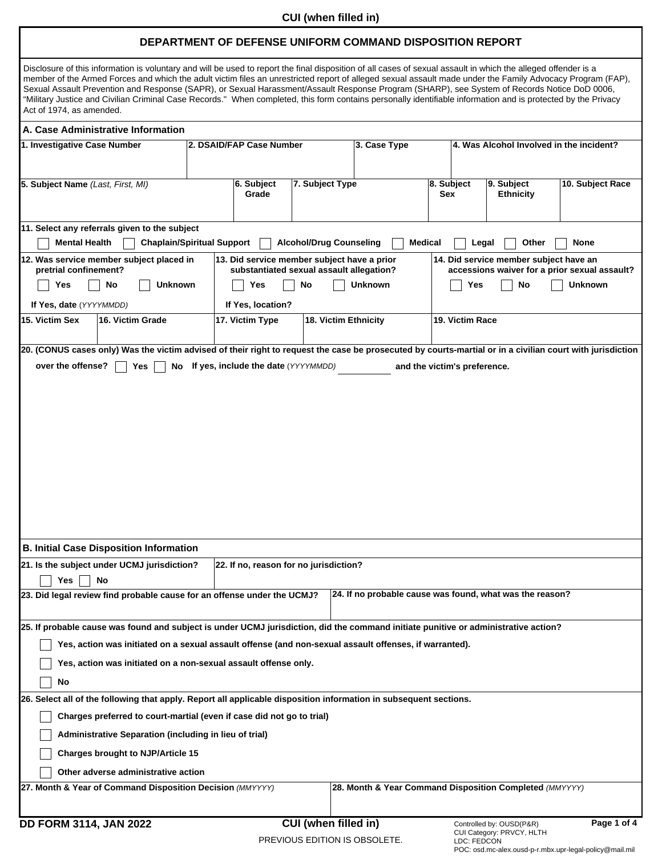## **CUI (when filled in)**

## **DEPARTMENT OF DEFENSE UNIFORM COMMAND DISPOSITION REPORT**

| Disclosure of this information is voluntary and will be used to report the final disposition of all cases of sexual assault in which the alleged offender is a<br>member of the Armed Forces and which the adult victim files an unrestricted report of alleged sexual assault made under the Family Advocacy Program (FAP),<br>Sexual Assault Prevention and Response (SAPR), or Sexual Harassment/Assault Response Program (SHARP), see System of Records Notice DoD 0006,<br>"Military Justice and Civilian Criminal Case Records." When completed, this form contains personally identifiable information and is protected by the Privacy<br>Act of 1974, as amended. |                          |                                                                         |                                |                      |                                                            |                      |
|---------------------------------------------------------------------------------------------------------------------------------------------------------------------------------------------------------------------------------------------------------------------------------------------------------------------------------------------------------------------------------------------------------------------------------------------------------------------------------------------------------------------------------------------------------------------------------------------------------------------------------------------------------------------------|--------------------------|-------------------------------------------------------------------------|--------------------------------|----------------------|------------------------------------------------------------|----------------------|
| A. Case Administrative Information                                                                                                                                                                                                                                                                                                                                                                                                                                                                                                                                                                                                                                        |                          |                                                                         |                                |                      |                                                            |                      |
| 1. Investigative Case Number                                                                                                                                                                                                                                                                                                                                                                                                                                                                                                                                                                                                                                              | 2. DSAID/FAP Case Number |                                                                         |                                | 3. Case Type         | 4. Was Alcohol Involved in the incident?                   |                      |
| 5. Subject Name (Last, First, MI)                                                                                                                                                                                                                                                                                                                                                                                                                                                                                                                                                                                                                                         |                          | 6. Subject<br>Grade<br>▼                                                | 7. Subject Type                |                      | 8. Subject<br>9. Subject<br>Sex<br><b>Ethnicity</b><br>▼   | 10. Subject Race     |
| 11. Select any referrals given to the subject<br><b>Chaplain/Spiritual Support</b><br><b>Mental Health</b>                                                                                                                                                                                                                                                                                                                                                                                                                                                                                                                                                                |                          |                                                                         | <b>Alcohol/Drug Counseling</b> |                      | <b>Medical</b><br>Other<br><b>None</b><br>Legal            |                      |
| 12. Was service member subject placed in                                                                                                                                                                                                                                                                                                                                                                                                                                                                                                                                                                                                                                  |                          | 13. Did service member subject have a prior                             |                                |                      | 14. Did service member subject have an                     |                      |
| pretrial confinement?<br><b>Unknown</b><br>No<br>Yes                                                                                                                                                                                                                                                                                                                                                                                                                                                                                                                                                                                                                      |                          | substantiated sexual assault allegation?<br><b>Unknown</b><br>No<br>Yes |                                |                      | accessions waiver for a prior sexual assault?<br>Yes<br>No | <b>Unknown</b>       |
| If Yes, date (YYYYMMDD)                                                                                                                                                                                                                                                                                                                                                                                                                                                                                                                                                                                                                                                   |                          | If Yes, location?                                                       |                                |                      |                                                            |                      |
| 15. Victim Sex<br>16. Victim Grade                                                                                                                                                                                                                                                                                                                                                                                                                                                                                                                                                                                                                                        |                          | 17. Victim Type                                                         | 18. Victim Ethnicity           |                      | 19. Victim Race                                            |                      |
| $\blacktriangledown$                                                                                                                                                                                                                                                                                                                                                                                                                                                                                                                                                                                                                                                      | $\blacktriangledown$     |                                                                         | $\blacktriangledown$           | $\blacktriangledown$ |                                                            |                      |
| 20. (CONUS cases only) Was the victim advised of their right to request the case be prosecuted by courts-martial or in a civilian court with jurisdiction<br>over the offense?<br>Yes<br>No.                                                                                                                                                                                                                                                                                                                                                                                                                                                                              |                          | If yes, include the date (YYYYMMDD)                                     |                                |                      | and the victim's preference.                               |                      |
|                                                                                                                                                                                                                                                                                                                                                                                                                                                                                                                                                                                                                                                                           |                          |                                                                         |                                |                      |                                                            |                      |
| <b>B. Initial Case Disposition Information</b>                                                                                                                                                                                                                                                                                                                                                                                                                                                                                                                                                                                                                            |                          |                                                                         |                                |                      |                                                            |                      |
| 21. Is the subject under UCMJ jurisdiction?<br>Yes<br>No                                                                                                                                                                                                                                                                                                                                                                                                                                                                                                                                                                                                                  |                          | 22. If no, reason for no jurisdiction?                                  |                                |                      |                                                            | $\blacktriangledown$ |
| 23. Did legal review find probable cause for an offense under the UCMJ?                                                                                                                                                                                                                                                                                                                                                                                                                                                                                                                                                                                                   |                          |                                                                         | $\overline{\phantom{0}}$       |                      | 24. If no probable cause was found, what was the reason?   |                      |
| 25. If probable cause was found and subject is under UCMJ jurisdiction, did the command initiate punitive or administrative action?                                                                                                                                                                                                                                                                                                                                                                                                                                                                                                                                       |                          |                                                                         |                                |                      |                                                            |                      |
| Yes, action was initiated on a sexual assault offense (and non-sexual assault offenses, if warranted).                                                                                                                                                                                                                                                                                                                                                                                                                                                                                                                                                                    |                          |                                                                         |                                |                      |                                                            |                      |
| Yes, action was initiated on a non-sexual assault offense only.                                                                                                                                                                                                                                                                                                                                                                                                                                                                                                                                                                                                           |                          |                                                                         |                                |                      |                                                            |                      |
| No                                                                                                                                                                                                                                                                                                                                                                                                                                                                                                                                                                                                                                                                        |                          |                                                                         |                                |                      |                                                            |                      |
| 26. Select all of the following that apply. Report all applicable disposition information in subsequent sections.                                                                                                                                                                                                                                                                                                                                                                                                                                                                                                                                                         |                          |                                                                         |                                |                      |                                                            |                      |
| Charges preferred to court-martial (even if case did not go to trial)                                                                                                                                                                                                                                                                                                                                                                                                                                                                                                                                                                                                     |                          |                                                                         |                                |                      |                                                            |                      |
| Administrative Separation (including in lieu of trial)                                                                                                                                                                                                                                                                                                                                                                                                                                                                                                                                                                                                                    |                          |                                                                         |                                |                      |                                                            |                      |
| <b>Charges brought to NJP/Article 15</b>                                                                                                                                                                                                                                                                                                                                                                                                                                                                                                                                                                                                                                  |                          |                                                                         |                                |                      |                                                            |                      |
| Other adverse administrative action                                                                                                                                                                                                                                                                                                                                                                                                                                                                                                                                                                                                                                       |                          |                                                                         |                                |                      |                                                            |                      |
| 27. Month & Year of Command Disposition Decision (MMYYYY)                                                                                                                                                                                                                                                                                                                                                                                                                                                                                                                                                                                                                 |                          |                                                                         |                                |                      | 28. Month & Year Command Disposition Completed (MMYYYY)    |                      |
| <b>DD FORM 3114, JAN 2022</b>                                                                                                                                                                                                                                                                                                                                                                                                                                                                                                                                                                                                                                             |                          |                                                                         | CUI (when filled in)           |                      | Controlled by: OUSD(P&R)                                   | Page 1 of 4          |
|                                                                                                                                                                                                                                                                                                                                                                                                                                                                                                                                                                                                                                                                           |                          | PREVIOUS EDITION IS OBSOLETE.                                           |                                |                      | CUI Category: PRVCY, HLTH<br>LDC: FEDCON                   |                      |

POC: osd.mc-alex.ousd-p-r.mbx.upr-legal-policy@mail.mil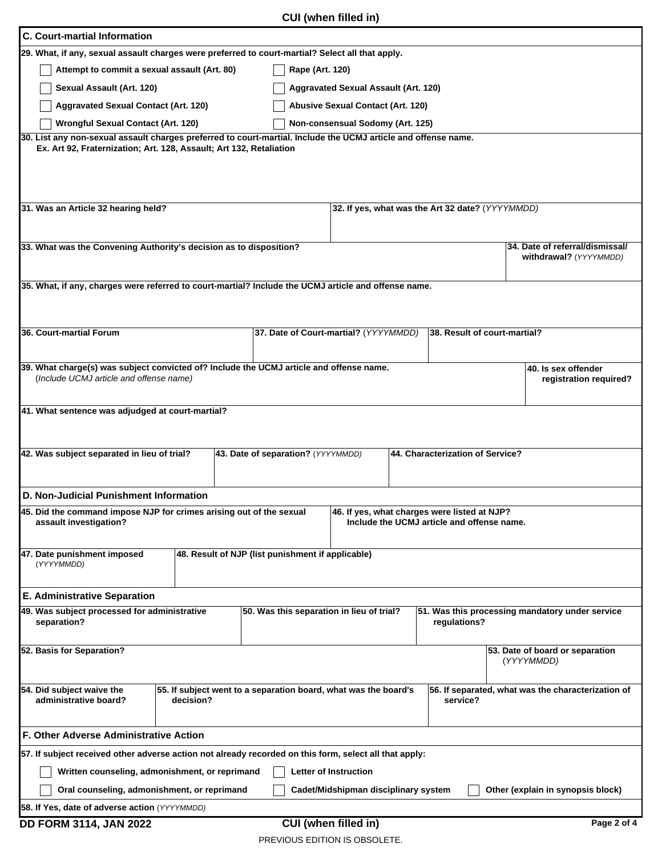| <b>C. Court-martial Information</b>                                                                                                |                                                                 |                                                                                            |                                                    |
|------------------------------------------------------------------------------------------------------------------------------------|-----------------------------------------------------------------|--------------------------------------------------------------------------------------------|----------------------------------------------------|
| 29. What, if any, sexual assault charges were preferred to court-martial? Select all that apply.                                   |                                                                 |                                                                                            |                                                    |
| Attempt to commit a sexual assault (Art. 80)                                                                                       | Rape (Art. 120)                                                 |                                                                                            |                                                    |
| Sexual Assault (Art. 120)                                                                                                          | <b>Aggravated Sexual Assault (Art. 120)</b>                     |                                                                                            |                                                    |
| <b>Aggravated Sexual Contact (Art. 120)</b>                                                                                        | <b>Abusive Sexual Contact (Art. 120)</b>                        |                                                                                            |                                                    |
| <b>Wrongful Sexual Contact (Art. 120)</b>                                                                                          | Non-consensual Sodomy (Art. 125)                                |                                                                                            |                                                    |
| 30. List any non-sexual assault charges preferred to court-martial. Include the UCMJ article and offense name.                     |                                                                 |                                                                                            |                                                    |
| Ex. Art 92, Fraternization; Art. 128, Assault; Art 132, Retaliation                                                                |                                                                 |                                                                                            |                                                    |
| 31. Was an Article 32 hearing held?                                                                                                |                                                                 | 32. If yes, what was the Art 32 date? (YYYYMMDD)                                           |                                                    |
|                                                                                                                                    |                                                                 |                                                                                            |                                                    |
| 33. What was the Convening Authority's decision as to disposition?                                                                 |                                                                 |                                                                                            | 34. Date of referral/dismissal/                    |
|                                                                                                                                    |                                                                 |                                                                                            | withdrawal? (YYYYMMDD)                             |
| 35. What, if any, charges were referred to court-martial? Include the UCMJ article and offense name.                               |                                                                 |                                                                                            |                                                    |
|                                                                                                                                    |                                                                 |                                                                                            |                                                    |
|                                                                                                                                    |                                                                 |                                                                                            |                                                    |
| 36. Court-martial Forum                                                                                                            | 37. Date of Court-martial? (YYYYMMDD)                           | 38. Result of court-martial?                                                               |                                                    |
|                                                                                                                                    |                                                                 |                                                                                            |                                                    |
| 39. What charge(s) was subject convicted of? Include the UCMJ article and offense name.<br>(Include UCMJ article and offense name) |                                                                 |                                                                                            | 40. Is sex offender<br>registration required?      |
|                                                                                                                                    |                                                                 |                                                                                            |                                                    |
| 41. What sentence was adjudged at court-martial?                                                                                   |                                                                 |                                                                                            |                                                    |
|                                                                                                                                    |                                                                 |                                                                                            |                                                    |
|                                                                                                                                    |                                                                 |                                                                                            |                                                    |
| 42. Was subject separated in lieu of trial?                                                                                        | 43. Date of separation? (YYYYMMDD)                              | 44. Characterization of Service?                                                           |                                                    |
|                                                                                                                                    |                                                                 |                                                                                            |                                                    |
| D. Non-Judicial Punishment Information                                                                                             |                                                                 |                                                                                            |                                                    |
| 45. Did the command impose NJP for crimes arising out of the sexual<br>assault investigation?                                      |                                                                 | 46. If yes, what charges were listed at NJP?<br>Include the UCMJ article and offense name. |                                                    |
|                                                                                                                                    | $\overline{\phantom{0}}$                                        |                                                                                            |                                                    |
| 47. Date punishment imposed                                                                                                        | 48. Result of NJP (list punishment if applicable)               |                                                                                            |                                                    |
| (YYYYMMDD)                                                                                                                         |                                                                 |                                                                                            |                                                    |
|                                                                                                                                    |                                                                 |                                                                                            |                                                    |
| <b>E. Administrative Separation</b><br>49. Was subject processed for administrative                                                | 50. Was this separation in lieu of trial?                       |                                                                                            | 51. Was this processing mandatory under service    |
| separation?                                                                                                                        |                                                                 | regulations?                                                                               |                                                    |
| $\blacktriangledown$                                                                                                               |                                                                 | $\blacktriangledown$                                                                       | $\blacktriangledown$                               |
| 52. Basis for Separation?                                                                                                          |                                                                 |                                                                                            | 53. Date of board or separation<br>(YYYYMMDD)      |
|                                                                                                                                    |                                                                 |                                                                                            |                                                    |
| 54. Did subject waive the                                                                                                          | 55. If subject went to a separation board, what was the board's |                                                                                            | 56. If separated, what was the characterization of |
| administrative board?<br>decision?<br>$\blacktriangledown$                                                                         |                                                                 | service?<br>$\blacktriangledown$                                                           |                                                    |
|                                                                                                                                    |                                                                 |                                                                                            |                                                    |
| F. Other Adverse Administrative Action                                                                                             |                                                                 |                                                                                            |                                                    |
| 57. If subject received other adverse action not already recorded on this form, select all that apply:                             |                                                                 |                                                                                            |                                                    |
| Written counseling, admonishment, or reprimand                                                                                     | Letter of Instruction                                           |                                                                                            |                                                    |
| Oral counseling, admonishment, or reprimand                                                                                        | Cadet/Midshipman disciplinary system                            |                                                                                            | Other (explain in synopsis block)                  |
| 58. If Yes, date of adverse action (YYYYMMDD)                                                                                      |                                                                 |                                                                                            |                                                    |

**DD FORM 3114, JAN 2022 CUI (when filled in)** Page 2 of 4

PREVIOUS EDITION IS OBSOLETE.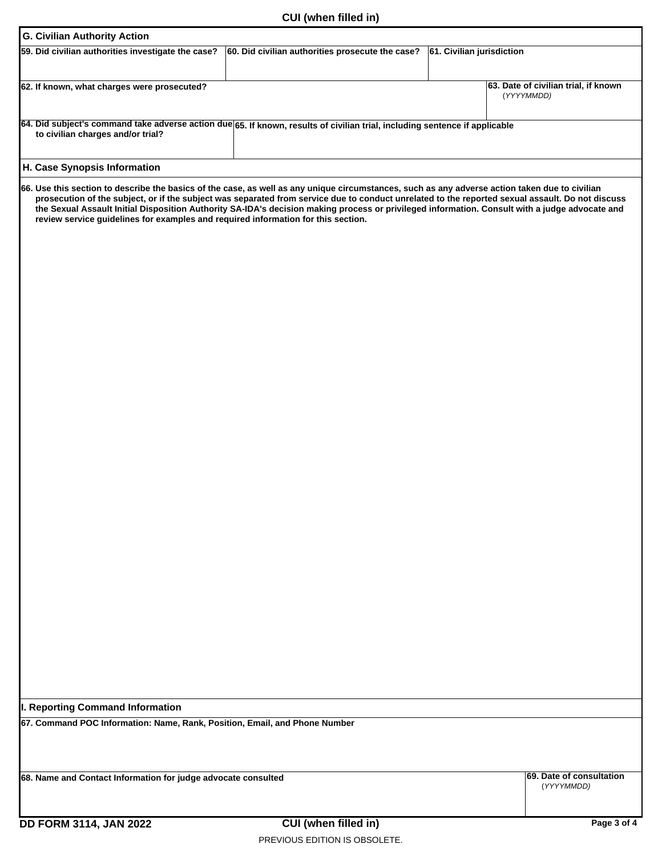| CUI (when filled in)                                                                                                                                                                                                                                                                                                                                                                                                                                                                                                                      |                                                    |
|-------------------------------------------------------------------------------------------------------------------------------------------------------------------------------------------------------------------------------------------------------------------------------------------------------------------------------------------------------------------------------------------------------------------------------------------------------------------------------------------------------------------------------------------|----------------------------------------------------|
| <b>G. Civilian Authority Action</b>                                                                                                                                                                                                                                                                                                                                                                                                                                                                                                       |                                                    |
| 59. Did civilian authorities investigate the case?<br>60. Did civilian authorities prosecute the case?<br>61. Civilian jurisdiction                                                                                                                                                                                                                                                                                                                                                                                                       |                                                    |
| $\overline{\phantom{a}}$<br>$\overline{\phantom{a}}$                                                                                                                                                                                                                                                                                                                                                                                                                                                                                      |                                                    |
| 62. If known, what charges were prosecuted?                                                                                                                                                                                                                                                                                                                                                                                                                                                                                               | 63. Date of civilian trial, if known<br>(YYYYMMDD) |
| 64. Did subject's command take adverse action due 65. If known, results of civilian trial, including sentence if applicable<br>to civilian charges and/or trial?<br>$\left  \mathbf{v} \right $                                                                                                                                                                                                                                                                                                                                           |                                                    |
| H. Case Synopsis Information                                                                                                                                                                                                                                                                                                                                                                                                                                                                                                              |                                                    |
| 66. Use this section to describe the basics of the case, as well as any unique circumstances, such as any adverse action taken due to civilian<br>prosecution of the subject, or if the subject was separated from service due to conduct unrelated to the reported sexual assault. Do not discuss<br>the Sexual Assault Initial Disposition Authority SA-IDA's decision making process or privileged information. Consult with a judge advocate and<br>review service guidelines for examples and required information for this section. |                                                    |
| I. Reporting Command Information<br>67. Command POC Information: Name, Rank, Position, Email, and Phone Number                                                                                                                                                                                                                                                                                                                                                                                                                            |                                                    |

PREVIOUS EDITION IS OBSOLETE.